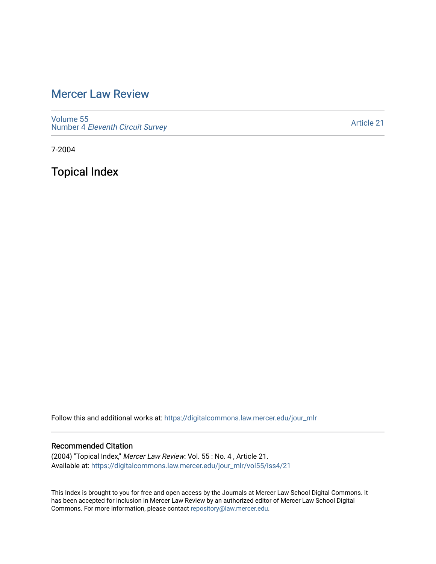# [Mercer Law Review](https://digitalcommons.law.mercer.edu/jour_mlr)

[Volume 55](https://digitalcommons.law.mercer.edu/jour_mlr/vol55) Number 4 [Eleventh Circuit Survey](https://digitalcommons.law.mercer.edu/jour_mlr/vol55/iss4) 

[Article 21](https://digitalcommons.law.mercer.edu/jour_mlr/vol55/iss4/21) 

7-2004

Topical Index

Follow this and additional works at: [https://digitalcommons.law.mercer.edu/jour\\_mlr](https://digitalcommons.law.mercer.edu/jour_mlr?utm_source=digitalcommons.law.mercer.edu%2Fjour_mlr%2Fvol55%2Fiss4%2F21&utm_medium=PDF&utm_campaign=PDFCoverPages)

#### Recommended Citation

(2004) "Topical Index," Mercer Law Review: Vol. 55 : No. 4 , Article 21. Available at: [https://digitalcommons.law.mercer.edu/jour\\_mlr/vol55/iss4/21](https://digitalcommons.law.mercer.edu/jour_mlr/vol55/iss4/21?utm_source=digitalcommons.law.mercer.edu%2Fjour_mlr%2Fvol55%2Fiss4%2F21&utm_medium=PDF&utm_campaign=PDFCoverPages) 

This Index is brought to you for free and open access by the Journals at Mercer Law School Digital Commons. It has been accepted for inclusion in Mercer Law Review by an authorized editor of Mercer Law School Digital Commons. For more information, please contact [repository@law.mercer.edu.](mailto:repository@law.mercer.edu)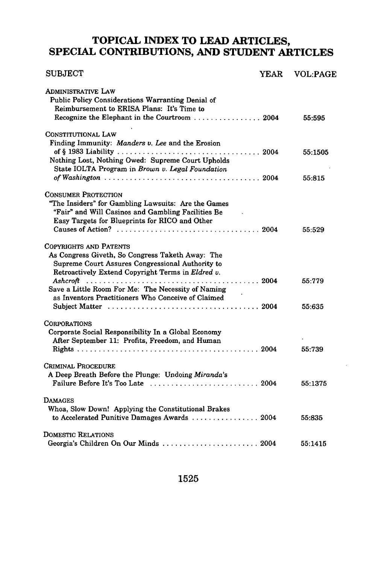### **TOPICAL INDEX TO LEAD ARTICLES, SPECIAL CONTRIBUTIONS, AND STUDENT ARTICLES**

| <b>SUBJECT</b>                                                                                                                                                                            | <b>YEAR</b> | <b>VOL:PAGE</b>  |
|-------------------------------------------------------------------------------------------------------------------------------------------------------------------------------------------|-------------|------------------|
| Administrative Law<br>Public Policy Considerations Warranting Denial of<br>Reimbursement to ERISA Plans: It's Time to<br>Recognize the Elephant in the Courtroom 2004                     |             | 55:595           |
| CONSTITUTIONAL LAW                                                                                                                                                                        |             |                  |
| Finding Immunity: Manders v. Lee and the Erosion<br>Nothing Lost, Nothing Owed: Supreme Court Upholds<br>State IOLTA Program in Brown v. Legal Foundation                                 |             | 55:1505          |
| of Washington $\ldots \ldots \ldots \ldots \ldots \ldots \ldots \ldots \ldots \ldots \ldots \ldots$                                                                                       |             | 55:815           |
| <b>CONSUMER PROTECTION</b><br>"The Insiders" for Gambling Lawsuits: Are the Games<br>"Fair" and Will Casinos and Gambling Facilities Be<br>Easy Targets for Blueprints for RICO and Other |             | 55:529           |
| COPYRIGHTS AND PATENTS<br>As Congress Giveth, So Congress Taketh Away: The<br>Supreme Court Assures Congressional Authority to<br>Retroactively Extend Copyright Terms in Eldred v.       |             |                  |
| Save a Little Room For Me: The Necessity of Naming<br>as Inventors Practitioners Who Conceive of Claimed<br>Subject Matter $\dots\dots\dots\dots\dots\dots\dots\dots\dots\dots\dots$ 2004 |             | 55:779<br>55:635 |
| CORPORATIONS<br>Corporate Social Responsibility In a Global Economy<br>After September 11: Profits, Freedom, and Human                                                                    |             | 55:739           |
| CRIMINAL PROCEDURE<br>A Deep Breath Before the Plunge: Undoing Miranda's                                                                                                                  |             | 55:1375          |
| Damages<br>Whoa, Slow Down! Applying the Constitutional Brakes<br>to Accelerated Punitive Damages Awards  2004                                                                            |             | 55:835           |
| DOMESTIC RELATIONS<br>Georgia's Children On Our Minds  2004                                                                                                                               |             | 55:1415          |